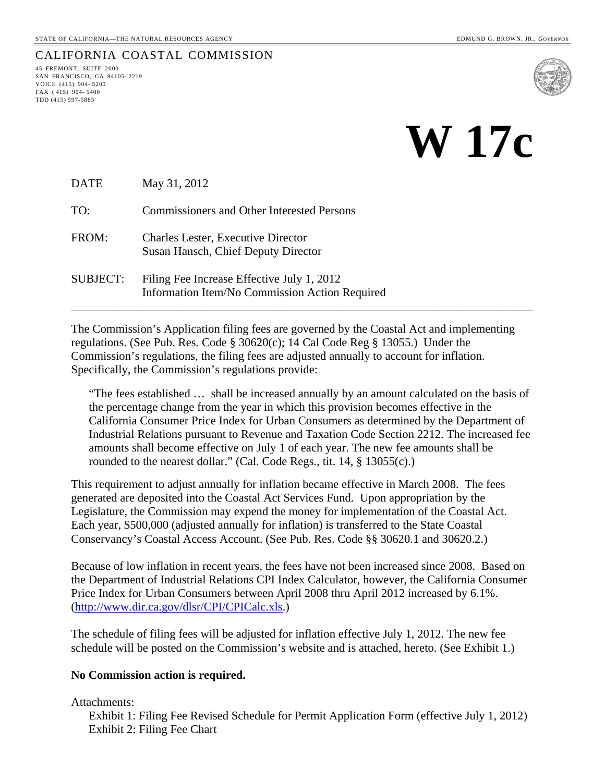# CALIFORNIA COASTAL COMMISSION<br>45 FREMONT, SUITE 2000

SAN FRANCISCO, CA 94105- 2219 VOICE (415) 904- 5200 FAX ( 415) 904- 5400 TDD (415) 597-5885



DATE May 31, 2012

TO: Commissioners and Other Interested Persons

- FROM: Charles Lester, Executive Director Susan Hansch, Chief Deputy Director
- SUBJECT: Filing Fee Increase Effective July 1, 2012 Information Item/No Commission Action Required

The Commission's Application filing fees are governed by the Coastal Act and implementing regulations. (See Pub. Res. Code § 30620(c); 14 Cal Code Reg § 13055.) Under the Commission's regulations, the filing fees are adjusted annually to account for inflation. Specifically, the Commission's regulations provide:

\_\_\_\_\_\_\_\_\_\_\_\_\_\_\_\_\_\_\_\_\_\_\_\_\_\_\_\_\_\_\_\_\_\_\_\_\_\_\_\_\_\_\_\_\_\_\_\_\_\_\_\_\_\_\_\_\_\_\_\_\_\_\_\_\_\_\_\_\_\_\_\_\_\_\_\_\_\_

"The fees established … shall be increased annually by an amount calculated on the basis of the percentage change from the year in which this provision becomes effective in the California Consumer Price Index for Urban Consumers as determined by the Department of Industrial Relations pursuant to Revenue and Taxation Code Section 2212. The increased fee amounts shall become effective on July 1 of each year. The new fee amounts shall be rounded to the nearest dollar." (Cal. Code Regs., tit. 14, § 13055(c).)

This requirement to adjust annually for inflation became effective in March 2008. The fees generated are deposited into the Coastal Act Services Fund. Upon appropriation by the Legislature, the Commission may expend the money for implementation of the Coastal Act. Each year, \$500,000 (adjusted annually for inflation) is transferred to the State Coastal Conservancy's Coastal Access Account. (See Pub. Res. Code §§ 30620.1 and 30620.2.)

Because of low inflation in recent years, the fees have not been increased since 2008. Based on the Department of Industrial Relations CPI Index Calculator, however, the California Consumer Price Index for Urban Consumers between April 2008 thru April 2012 increased by 6.1%. (<http://www.dir.ca.gov/dlsr/CPI/CPICalc.xls>.)

The schedule of filing fees will be adjusted for inflation effective July 1, 2012. The new fee schedule will be posted on the Commission's website and is attached, hereto. (See Exhibit 1.)

#### **No Commission action is required.**

Attachments:

Exhibit 1: Filing Fee Revised Schedule for Permit Application Form (effective July 1, 2012) Exhibit 2: Filing Fee Chart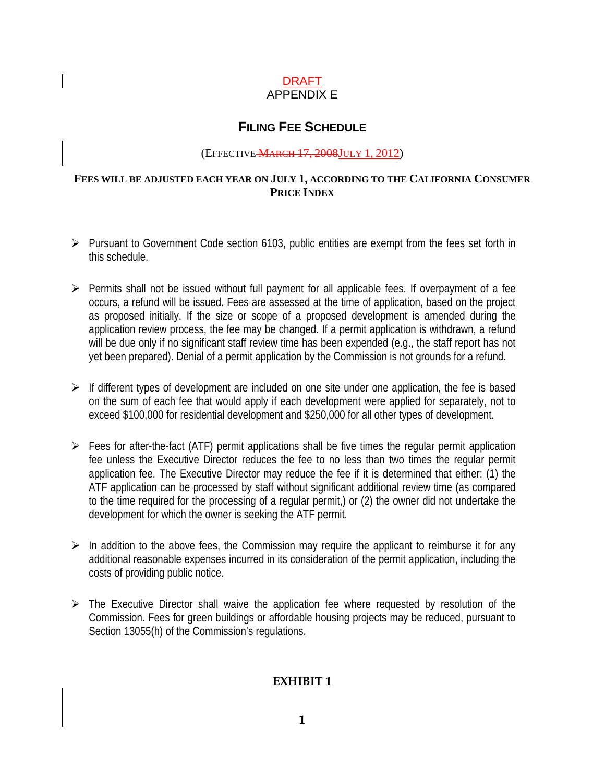#### DRAFT APPENDIX E

### **FILING FEE SCHEDULE**

#### (EFFECTIVE MARCH 17, 2008JULY 1, 2012)

#### **FEES WILL BE ADJUSTED EACH YEAR ON JULY 1, ACCORDING TO THE CALIFORNIA CONSUMER PRICE INDEX**

- $\triangleright$  Pursuant to Government Code section 6103, public entities are exempt from the fees set forth in this schedule.
- $\triangleright$  Permits shall not be issued without full payment for all applicable fees. If overpayment of a fee occurs, a refund will be issued. Fees are assessed at the time of application, based on the project as proposed initially. If the size or scope of a proposed development is amended during the application review process, the fee may be changed. If a permit application is withdrawn, a refund will be due only if no significant staff review time has been expended (e.g., the staff report has not yet been prepared). Denial of a permit application by the Commission is not grounds for a refund.
- $\triangleright$  If different types of development are included on one site under one application, the fee is based on the sum of each fee that would apply if each development were applied for separately, not to exceed \$100,000 for residential development and \$250,000 for all other types of development.
- $\triangleright$  Fees for after-the-fact (ATF) permit applications shall be five times the regular permit application fee unless the Executive Director reduces the fee to no less than two times the regular permit application fee. The Executive Director may reduce the fee if it is determined that either: (1) the ATF application can be processed by staff without significant additional review time (as compared to the time required for the processing of a regular permit,) or (2) the owner did not undertake the development for which the owner is seeking the ATF permit.
- $\triangleright$  In addition to the above fees, the Commission may require the applicant to reimburse it for any additional reasonable expenses incurred in its consideration of the permit application, including the costs of providing public notice.
- $\triangleright$  The Executive Director shall waive the application fee where requested by resolution of the Commission. Fees for green buildings or affordable housing projects may be reduced, pursuant to Section 13055(h) of the Commission's regulations.

#### **EXHIBIT 1**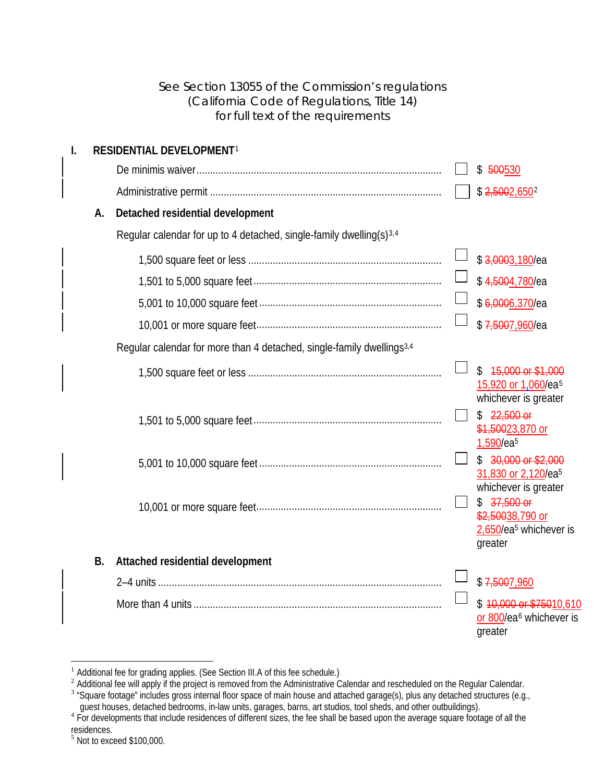<span id="page-2-4"></span>

|    |           | See Section 13055 of the Commission's regulations<br>(California Code of Regulations, Title 14)<br>for full text of the requirements                        |                                                                                                                                                                                                                                                                                                                         |
|----|-----------|-------------------------------------------------------------------------------------------------------------------------------------------------------------|-------------------------------------------------------------------------------------------------------------------------------------------------------------------------------------------------------------------------------------------------------------------------------------------------------------------------|
| I. | A.        | RESIDENTIAL DEVELOPMENT <sup>1</sup><br>Detached residential development<br>Regular calendar for up to 4 detached, single-family dwelling(s) <sup>3,4</sup> | \$500530<br>\$2,5002,6502<br>\$3,0003,180/ea<br>\$4,5004,780/ea<br>\$6,0006,370/ea<br>\$7,5007,960/ea                                                                                                                                                                                                                   |
|    |           | Regular calendar for more than 4 detached, single-family dwellings <sup>3,4</sup>                                                                           | 15,000 or \$1,000<br>\$<br>15,920 or 1,060/ea <sup>5</sup><br>whichever is greater<br>$$22,500$ or<br>\$1,50023,870 or<br>1,590/ea <sup>5</sup><br>$$30,000$ or \$2,000<br>31,830 or 2,120/ea <sup>5</sup><br>whichever is greater<br>$$37,500$ or<br>\$2,50038,790 or<br>2,650/ea <sup>5</sup> whichever is<br>greater |
|    | <b>B.</b> | Attached residential development                                                                                                                            | \$7,5007,960<br>\$10,000 or \$75010,610<br>or 800/ea <sup>6</sup> whichever is<br>greater                                                                                                                                                                                                                               |

<span id="page-2-6"></span> $\overline{a}$ 

<span id="page-2-7"></span><span id="page-2-0"></span> $1$  Additional fee for grading applies. (See Section III.A of this fee schedule.)

<span id="page-2-1"></span><sup>&</sup>lt;sup>2</sup> Additional fee will apply if the project is removed from the Administrative Calendar and rescheduled on the Regular Calendar.<br><sup>3</sup> "Square footage" includes gross internal floor space of main house and attached garage(

<span id="page-2-2"></span>guest houses, detached bedrooms, in-law units, garages, barns, art studios, tool sheds, and other outbuildings).<br>For developments that include residences of different sizes, the fee shall be based upon the average square f

<span id="page-2-3"></span>residences.

<span id="page-2-5"></span> $<sup>5</sup>$  Not to exceed \$100,000.</sup>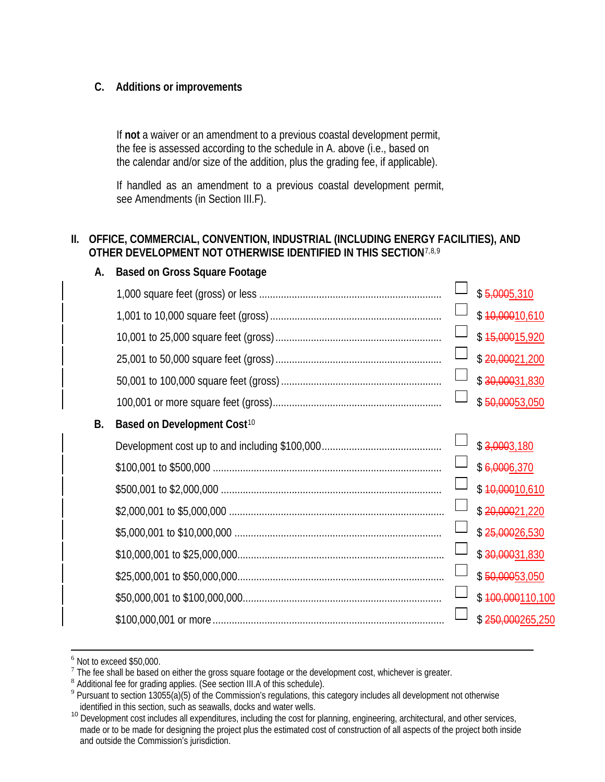#### **C. Additions or improvements**

If **not** a waiver or an amendment to a previous coastal development permit, the fee is assessed according to the schedule in A. above (i.e., based on the calendar and/or size of the addition, plus the grading fee, if applicable).

If handled as an amendment to a previous coastal development permit, see Amendments (in Section III.F).

#### **II. OFFICE, COMMERCIAL, CONVENTION, INDUSTRIAL (INCLUDING ENERGY FACILITIES), AND OTHER DEVELOPMENT NOT OTHERWISE IDENTIFIED IN THIS SECTION**[7,](#page-3-0)[8,](#page-3-1)[9](#page-3-2)

|           | 88908 on 0.000 oquaro roomgo            |                          |
|-----------|-----------------------------------------|--------------------------|
|           |                                         | \$5,0005,310             |
|           |                                         | \$10,00010,610           |
|           |                                         | \$15,00015,920           |
|           |                                         | \$20,00021,200           |
|           |                                         | \$30,00031,830           |
|           |                                         | \$50,00053,050           |
| <b>B.</b> | Based on Development Cost <sup>10</sup> |                          |
|           |                                         | $$ \frac{3,0003,180}{ }$ |
|           |                                         | \$6,0006,370             |
|           |                                         | \$10,00010,610           |
|           |                                         | \$20,00021,220           |
|           |                                         | \$25,00026,530           |
|           |                                         | \$30,00031,830           |
|           |                                         | \$50,00053,050           |
|           |                                         | \$400,000110,100         |
|           |                                         | \$250,000265,250         |
|           |                                         |                          |

#### **A. Based on Gross Square Footage**

 $6$  Not to exceed \$50,000.

<span id="page-3-1"></span><span id="page-3-0"></span>The fee shall be based on either the gross square footage or the development cost, whichever is greater.<br><sup>8</sup> Additional fee for grading applies. (See section III.A of this schedule).

<span id="page-3-2"></span><sup>&</sup>lt;sup>9</sup> Pursuant to section 13055(a)(5) of the Commission's regulations, this category includes all development not otherwise identified in this section, such as seawalls, docks and water wells.

<span id="page-3-3"></span><sup>&</sup>lt;sup>10</sup> Development cost includes all expenditures, including the cost for planning, engineering, architectural, and other services, made or to be made for designing the project plus the estimated cost of construction of all aspects of the project both inside and outside the Commission's jurisdiction.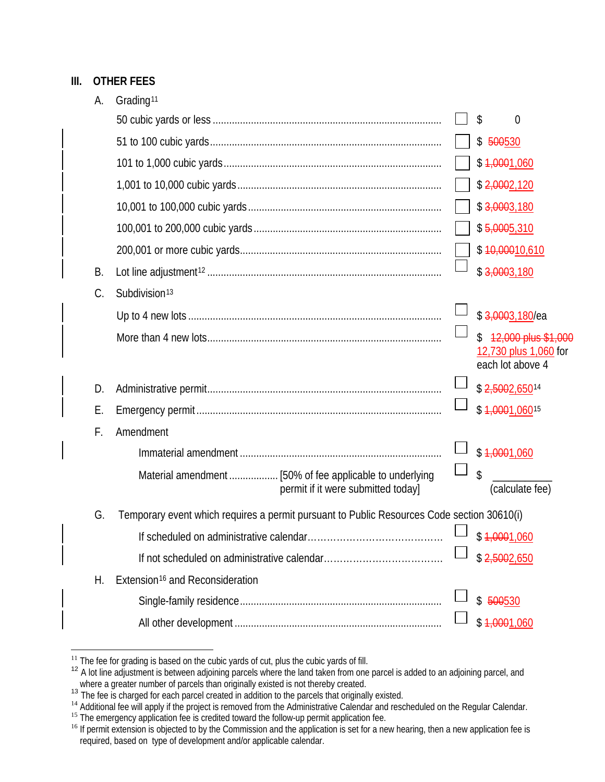#### **III. OTHER FEES**

| А. | Grading <sup>11</sup>                                                                      |                             |                                                                  |
|----|--------------------------------------------------------------------------------------------|-----------------------------|------------------------------------------------------------------|
|    |                                                                                            |                             | \$<br>0                                                          |
|    |                                                                                            |                             | \$500530                                                         |
|    |                                                                                            |                             | \$1,0001,060                                                     |
|    |                                                                                            |                             | \$2,0002,120                                                     |
|    |                                                                                            |                             | $$ \frac{3,0003,180}{ }$                                         |
|    |                                                                                            |                             | \$5,0005,310                                                     |
|    |                                                                                            |                             | \$10,00010,610                                                   |
| В. |                                                                                            |                             | $$ \frac{3,0003,180}{ }$                                         |
| C. | Subdivision <sup>13</sup>                                                                  |                             |                                                                  |
|    |                                                                                            |                             | \$3,0003,180/ea                                                  |
|    |                                                                                            |                             | 12,000 plus \$1,000<br>12,730 plus 1,060 for<br>each lot above 4 |
| D. |                                                                                            |                             | \$2,5002,65014                                                   |
| Е. |                                                                                            |                             | \$1,0001,06015                                                   |
| F. | Amendment                                                                                  |                             |                                                                  |
|    |                                                                                            |                             | \$1,0001,060                                                     |
|    |                                                                                            | $\mathcal{L}_{\mathcal{A}}$ | \$                                                               |
|    | permit if it were submitted today]                                                         |                             | (calculate fee)                                                  |
| G. | Temporary event which requires a permit pursuant to Public Resources Code section 30610(i) |                             |                                                                  |
|    |                                                                                            |                             | \$1,0001,060                                                     |
|    |                                                                                            |                             | \$2,5002,650                                                     |
| Н. | Extension <sup>16</sup> and Reconsideration                                                |                             |                                                                  |
|    |                                                                                            |                             | \$500530                                                         |
|    |                                                                                            |                             | \$1,0001,060                                                     |

 $\overline{a}$ 

<span id="page-4-1"></span><span id="page-4-0"></span>

<sup>&</sup>lt;sup>11</sup> The fee for grading is based on the cubic yards of cut, plus the cubic yards of fill.<br><sup>12</sup> A lot line adjustment is between adjoining parcels where the land taken from one parcel is added to an adjoining parcel, and

<span id="page-4-4"></span><span id="page-4-3"></span><span id="page-4-2"></span><sup>&</sup>lt;sup>14</sup> Additional fee will apply if the project is removed from the Administrative Calendar and rescheduled on the Regular Calendar.<br><sup>15</sup> The emergency application fee is credited toward the follow-up permit application fee.

<span id="page-4-5"></span><sup>&</sup>lt;sup>16</sup> If permit extension is objected to by the Commission and the application is set for a new hearing, then a new application fee is required, based on type of development and/or applicable calendar.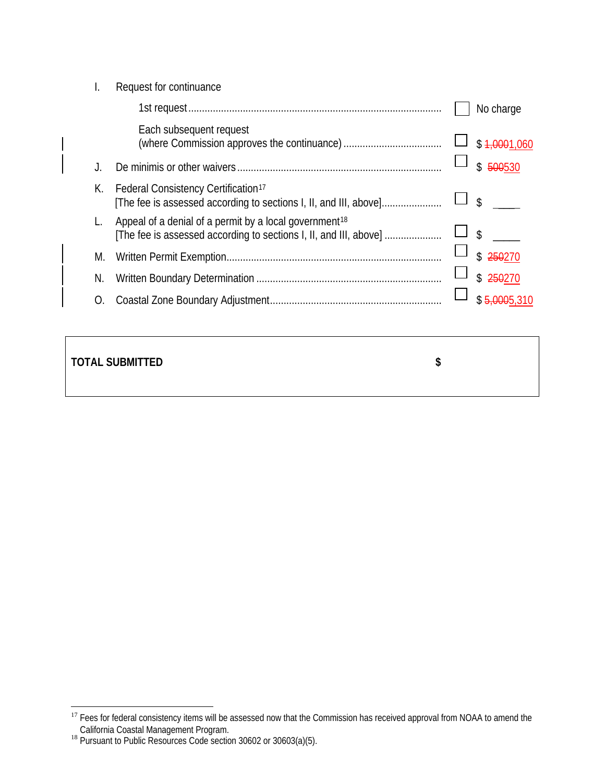|                  | Request for continuance                                                                                                                 |                         |
|------------------|-----------------------------------------------------------------------------------------------------------------------------------------|-------------------------|
|                  |                                                                                                                                         | No charge               |
|                  | Each subsequent request                                                                                                                 | \$1,0001,060            |
|                  |                                                                                                                                         | $\mathcal{S}$<br>500530 |
| К.               | Federal Consistency Certification <sup>17</sup><br>[The fee is assessed according to sections I, II, and III, above]                    | \$                      |
|                  | Appeal of a denial of a permit by a local government <sup>18</sup><br>[The fee is assessed according to sections I, II, and III, above] | \$                      |
| M.               |                                                                                                                                         | \$                      |
| N.               |                                                                                                                                         | $\mathcal{L}$<br>250270 |
| $\left( \right)$ |                                                                                                                                         |                         |
|                  |                                                                                                                                         |                         |

#### **TOTAL SUBMITTED \$**

<span id="page-5-0"></span> $\overline{a}$ <sup>17</sup> Fees for federal consistency items will be assessed now that the Commission has received approval from NOAA to amend the

<span id="page-5-1"></span>California Coastal Management Program.<br><sup>18</sup> Pursuant to Public Resources Code section 30602 or 30603(a)(5).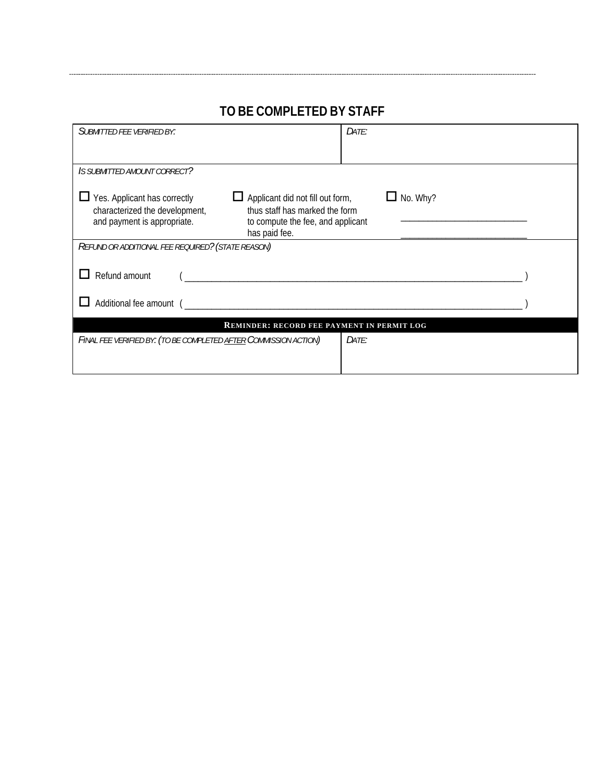| DATE:                                                                                                                      |  |  |  |  |  |
|----------------------------------------------------------------------------------------------------------------------------|--|--|--|--|--|
|                                                                                                                            |  |  |  |  |  |
| $\Box$ No. Why?<br>Applicant did not fill out form,<br>thus staff has marked the form<br>to compute the fee, and applicant |  |  |  |  |  |
|                                                                                                                            |  |  |  |  |  |
|                                                                                                                            |  |  |  |  |  |
|                                                                                                                            |  |  |  |  |  |
| <b>REMINDER: RECORD FEE PAYMENT IN PERMIT LOG</b>                                                                          |  |  |  |  |  |
| Date:                                                                                                                      |  |  |  |  |  |
|                                                                                                                            |  |  |  |  |  |

## **TO BE COMPLETED BY STAFF**